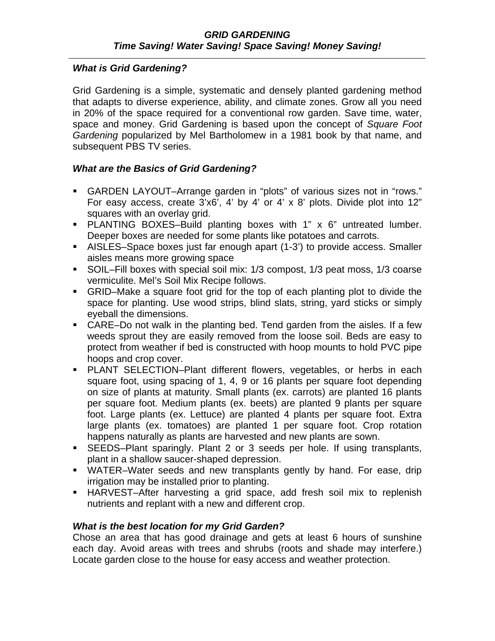## *What is Grid Gardening?*

Grid Gardening is a simple, systematic and densely planted gardening method that adapts to diverse experience, ability, and climate zones. Grow all you need in 20% of the space required for a conventional row garden. Save time, water, space and money. Grid Gardening is based upon the concept of *Square Foot Gardening* popularized by Mel Bartholomew in a 1981 book by that name, and subsequent PBS TV series.

## *What are the Basics of Grid Gardening?*

- GARDEN LAYOUT–Arrange garden in "plots" of various sizes not in "rows." For easy access, create 3'x6', 4' by 4' or 4' x 8' plots. Divide plot into 12" squares with an overlay grid.
- PLANTING BOXES–Build planting boxes with 1" x 6" untreated lumber. Deeper boxes are needed for some plants like potatoes and carrots.
- AISLES–Space boxes just far enough apart (1-3') to provide access. Smaller aisles means more growing space
- SOIL–Fill boxes with special soil mix: 1/3 compost, 1/3 peat moss, 1/3 coarse vermiculite. Mel's Soil Mix Recipe follows.
- GRID–Make a square foot grid for the top of each planting plot to divide the space for planting. Use wood strips, blind slats, string, yard sticks or simply eyeball the dimensions.
- CARE–Do not walk in the planting bed. Tend garden from the aisles. If a few weeds sprout they are easily removed from the loose soil. Beds are easy to protect from weather if bed is constructed with hoop mounts to hold PVC pipe hoops and crop cover.
- **PLANT SELECTION–Plant different flowers, vegetables, or herbs in each** square foot, using spacing of 1, 4, 9 or 16 plants per square foot depending on size of plants at maturity. Small plants (ex. carrots) are planted 16 plants per square foot. Medium plants (ex. beets) are planted 9 plants per square foot. Large plants (ex. Lettuce) are planted 4 plants per square foot. Extra large plants (ex. tomatoes) are planted 1 per square foot. Crop rotation happens naturally as plants are harvested and new plants are sown.
- SEEDS–Plant sparingly. Plant 2 or 3 seeds per hole. If using transplants, plant in a shallow saucer-shaped depression.
- WATER–Water seeds and new transplants gently by hand. For ease, drip irrigation may be installed prior to planting.
- HARVEST–After harvesting a grid space, add fresh soil mix to replenish nutrients and replant with a new and different crop.

# *What is the best location for my Grid Garden?*

Chose an area that has good drainage and gets at least 6 hours of sunshine each day. Avoid areas with trees and shrubs (roots and shade may interfere.) Locate garden close to the house for easy access and weather protection.